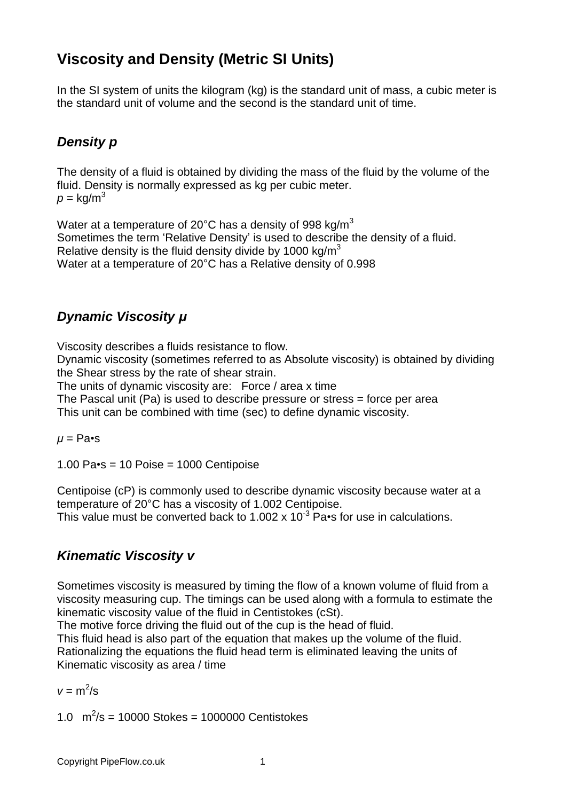## **Viscosity and Density (Metric SI Units)**

In the SI system of units the kilogram (kg) is the standard unit of mass, a cubic meter is the standard unit of volume and the second is the standard unit of time.

## **Density p**

The density of a fluid is obtained by dividing the mass of the fluid by the volume of the fluid. Density is normally expressed as kg per cubic meter.  $p = \text{kg/m}^3$ 

Water at a temperature of 20°C has a density of 998 kg/m $^3$ Sometimes the term 'Relative Density' is used to describe the density of a fluid. Relative density is the fluid density divide by 1000 kg/ $m<sup>3</sup>$ Water at a temperature of 20°C has a Relative density of 0.998

### **Dynamic Viscosity µ**

Viscosity describes a fluids resistance to flow.

Dynamic viscosity (sometimes referred to as Absolute viscosity) is obtained by dividing the Shear stress by the rate of shear strain.

The units of dynamic viscosity are: Force / area x time

The Pascal unit (Pa) is used to describe pressure or stress = force per area

This unit can be combined with time (sec) to define dynamic viscosity.

 $$ 

 $1.00$  Pa $\cdot$ s = 10 Poise = 1000 Centipoise

Centipoise (cP) is commonly used to describe dynamic viscosity because water at a temperature of 20°C has a viscosity of 1.002 Centipoise. This value must be converted back to 1.002 x 10<sup>-3</sup> Pa•s for use in calculations.

#### **Kinematic Viscosity v**

Sometimes viscosity is measured by timing the flow of a known volume of fluid from a viscosity measuring cup. The timings can be used along with a formula to estimate the kinematic viscosity value of the fluid in Centistokes (cSt).

The motive force driving the fluid out of the cup is the head of fluid.

This fluid head is also part of the equation that makes up the volume of the fluid. Rationalizing the equations the fluid head term is eliminated leaving the units of Kinematic viscosity as area / time

 $v = m^2/s$ 

1.0  $\text{m}^2/\text{s} = 10000 \text{ Stokes} = 1000000 \text{ Centistokes}$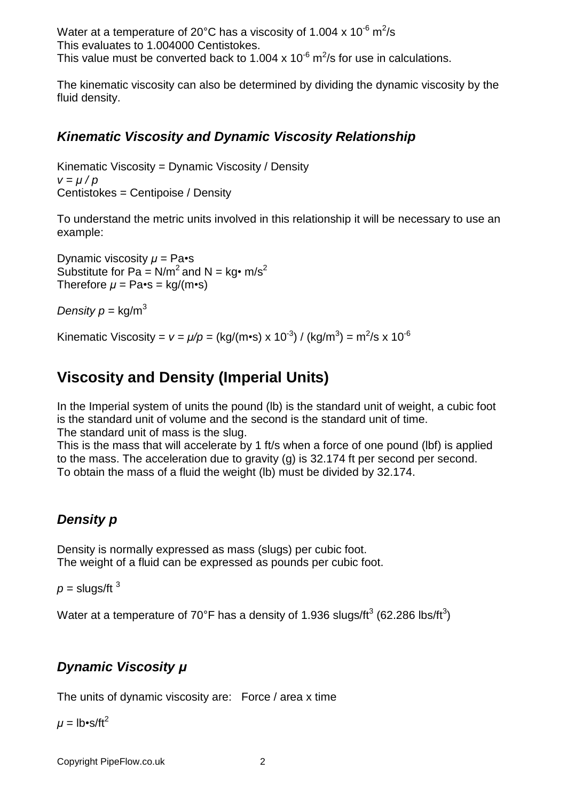Water at a temperature of 20°C has a viscosity of 1.004 x 10<sup>-6</sup> m<sup>2</sup>/s This evaluates to 1.004000 Centistokes. This value must be converted back to 1.004 x 10<sup>-6</sup> m<sup>2</sup>/s for use in calculations.

The kinematic viscosity can also be determined by dividing the dynamic viscosity by the fluid density.

### **Kinematic Viscosity and Dynamic Viscosity Relationship**

Kinematic Viscosity = Dynamic Viscosity / Density  $v = \mu / p$ Centistokes = Centipoise / Density

To understand the metric units involved in this relationship it will be necessary to use an example:

Dynamic viscosity  $\mu$  = Pa<sup> $\cdot$ </sup>s Substitute for Pa =  $N/m^2$  and N = kg• m/s<sup>2</sup> Therefore  $\mu$  = Pa•s = kg/(m•s)

Density  $p = \text{kg/m}^3$ 

Kinematic Viscosity =  $v = \mu/p =$  (kg/(m•s) x 10<sup>-3</sup>) / (kg/m<sup>3</sup>) = m<sup>2</sup>/s x 10<sup>-6</sup>

# **Viscosity and Density (Imperial Units)**

In the Imperial system of units the pound (Ib) is the standard unit of weight, a cubic foot is the standard unit of volume and the second is the standard unit of time. The standard unit of mass is the slug.

This is the mass that will accelerate by 1 ft/s when a force of one pound (lbf) is applied to the mass. The acceleration due to gravity (g) is 32.174 ft per second per second. To obtain the mass of a fluid the weight (lb) must be divided by 32.174.

## **Density p**

Density is normally expressed as mass (slugs) per cubic foot. The weight of a fluid can be expressed as pounds per cubic foot.

 $p =$  slugs/ft  $3$ 

Water at a temperature of 70°F has a density of 1.936 slugs/ft $^3$  (62.286 lbs/ft $^3$ )

## **Dynamic Viscosity µ**

The units of dynamic viscosity are: Force / area x time

 $\mu =$  lb•s/ft<sup>2</sup>